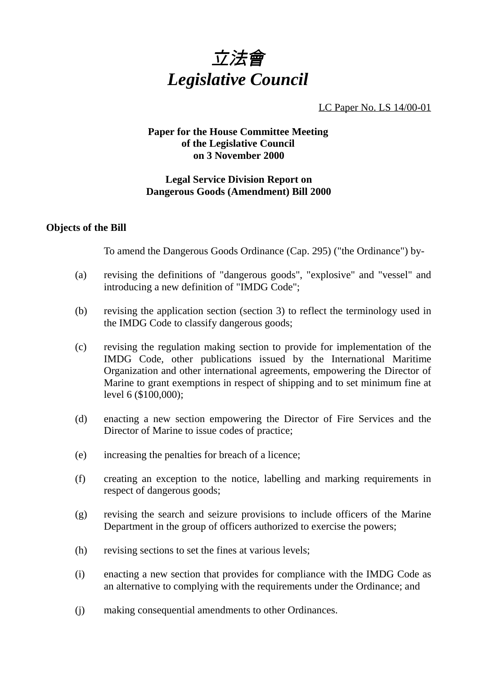

LC Paper No. LS 14/00-01

## **Paper for the House Committee Meeting of the Legislative Council on 3 November 2000**

# **Legal Service Division Report on Dangerous Goods (Amendment) Bill 2000**

### **Objects of the Bill**

To amend the Dangerous Goods Ordinance (Cap. 295) ("the Ordinance") by-

- (a) revising the definitions of "dangerous goods", "explosive" and "vessel" and introducing a new definition of "IMDG Code";
- (b) revising the application section (section 3) to reflect the terminology used in the IMDG Code to classify dangerous goods;
- (c) revising the regulation making section to provide for implementation of the IMDG Code, other publications issued by the International Maritime Organization and other international agreements, empowering the Director of Marine to grant exemptions in respect of shipping and to set minimum fine at level 6 (\$100,000);
- (d) enacting a new section empowering the Director of Fire Services and the Director of Marine to issue codes of practice;
- (e) increasing the penalties for breach of a licence;
- (f) creating an exception to the notice, labelling and marking requirements in respect of dangerous goods;
- (g) revising the search and seizure provisions to include officers of the Marine Department in the group of officers authorized to exercise the powers;
- (h) revising sections to set the fines at various levels;
- (i) enacting a new section that provides for compliance with the IMDG Code as an alternative to complying with the requirements under the Ordinance; and
- (j) making consequential amendments to other Ordinances.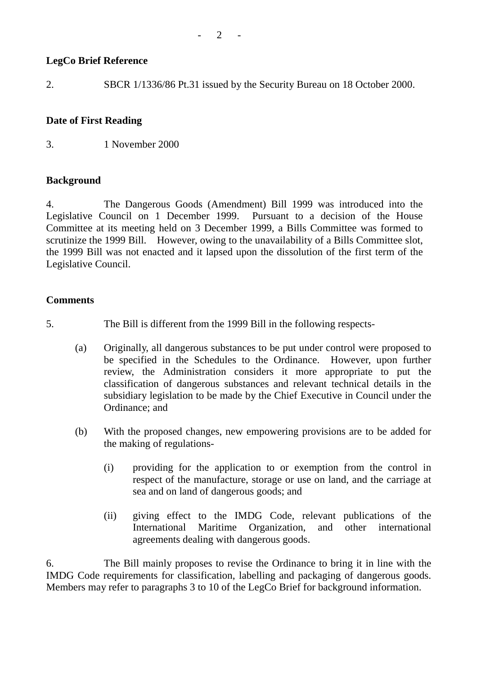# **LegCo Brief Reference**

2. SBCR 1/1336/86 Pt.31 issued by the Security Bureau on 18 October 2000.

## **Date of First Reading**

3. 1 November 2000

## **Background**

4. The Dangerous Goods (Amendment) Bill 1999 was introduced into the Legislative Council on 1 December 1999. Pursuant to a decision of the House Committee at its meeting held on 3 December 1999, a Bills Committee was formed to scrutinize the 1999 Bill. However, owing to the unavailability of a Bills Committee slot, the 1999 Bill was not enacted and it lapsed upon the dissolution of the first term of the Legislative Council.

## **Comments**

- 5. The Bill is different from the 1999 Bill in the following respects-
	- (a) Originally, all dangerous substances to be put under control were proposed to be specified in the Schedules to the Ordinance. However, upon further review, the Administration considers it more appropriate to put the classification of dangerous substances and relevant technical details in the subsidiary legislation to be made by the Chief Executive in Council under the Ordinance; and
	- (b) With the proposed changes, new empowering provisions are to be added for the making of regulations-
		- (i) providing for the application to or exemption from the control in respect of the manufacture, storage or use on land, and the carriage at sea and on land of dangerous goods; and
		- (ii) giving effect to the IMDG Code, relevant publications of the International Maritime Organization, and other international agreements dealing with dangerous goods.

6. The Bill mainly proposes to revise the Ordinance to bring it in line with the IMDG Code requirements for classification, labelling and packaging of dangerous goods. Members may refer to paragraphs 3 to 10 of the LegCo Brief for background information.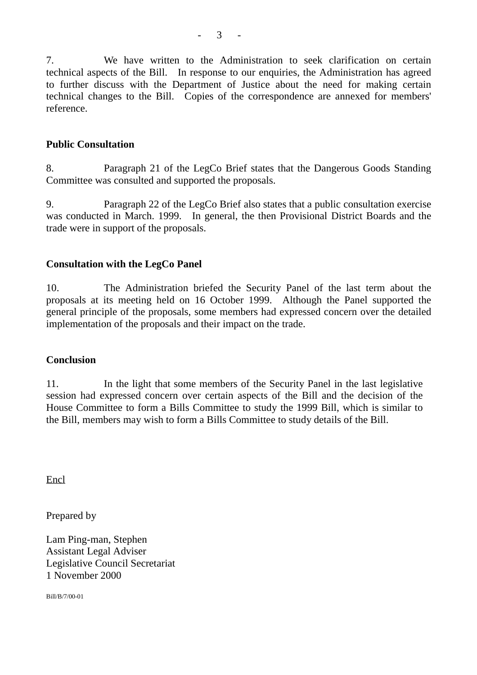7. We have written to the Administration to seek clarification on certain technical aspects of the Bill. In response to our enquiries, the Administration has agreed to further discuss with the Department of Justice about the need for making certain technical changes to the Bill. Copies of the correspondence are annexed for members' reference.

#### **Public Consultation**

8. Paragraph 21 of the LegCo Brief states that the Dangerous Goods Standing Committee was consulted and supported the proposals.

9. Paragraph 22 of the LegCo Brief also states that a public consultation exercise was conducted in March. 1999. In general, the then Provisional District Boards and the trade were in support of the proposals.

#### **Consultation with the LegCo Panel**

10. The Administration briefed the Security Panel of the last term about the proposals at its meeting held on 16 October 1999. Although the Panel supported the general principle of the proposals, some members had expressed concern over the detailed implementation of the proposals and their impact on the trade.

#### **Conclusion**

11. In the light that some members of the Security Panel in the last legislative session had expressed concern over certain aspects of the Bill and the decision of the House Committee to form a Bills Committee to study the 1999 Bill, which is similar to the Bill, members may wish to form a Bills Committee to study details of the Bill.

Encl

Prepared by

Lam Ping-man, Stephen Assistant Legal Adviser Legislative Council Secretariat 1 November 2000

Bill/B/7/00-01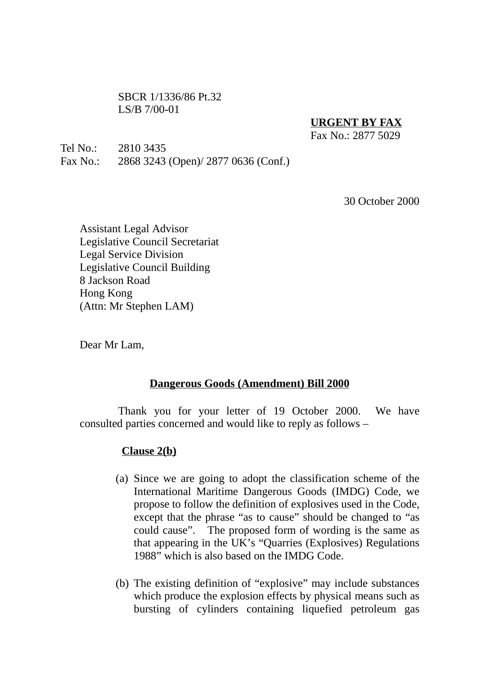SBCR 1/1336/86 Pt.32 LS/B 7/00-01

### **URGENT BY FAX**

 $Fax No.2877 5029$ 

Tel No.: 2810 3435 Fax No.: 2868 3243 (Open)/ 2877 0636 (Conf.)

30 October 2000

Assistant Legal Advisor Legislative Council Secretariat Legal Service Division Legislative Council Building 8 Jackson Road Hong Kong (Attn: Mr Stephen LAM)

Dear Mr Lam,

#### **Dangerous Goods (Amendment) Bill 2000**

Thank you for your letter of 19 October 2000. We have consulted parties concerned and would like to reply as follows –

#### **Clause 2(b)**

- (a) Since we are going to adopt the classification scheme of the International Maritime Dangerous Goods (IMDG) Code, we propose to follow the definition of explosives used in the Code, except that the phrase "as to cause" should be changed to "as could cause". The proposed form of wording is the same as that appearing in the UK's "Quarries (Explosives) Regulations 1988" which is also based on the IMDG Code.
- (b) The existing definition of "explosive" may include substances which produce the explosion effects by physical means such as bursting of cylinders containing liquefied petroleum gas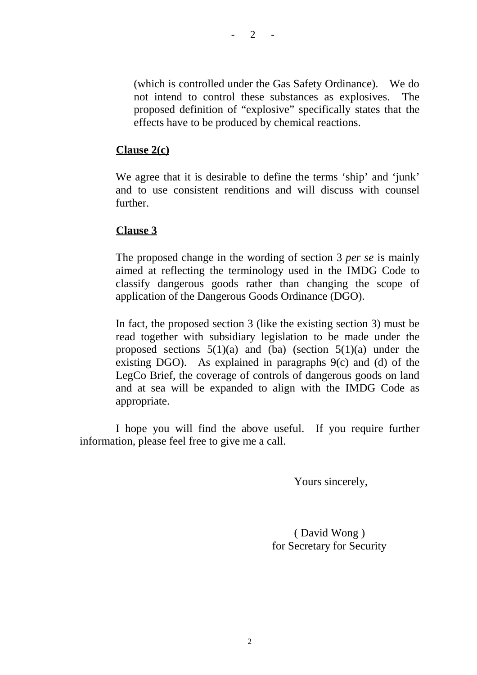$- 2 - 1$ 

(which is controlled under the Gas Safety Ordinance). We do not intend to control these substances as explosives. The proposed definition of "explosive" specifically states that the effects have to be produced by chemical reactions.

### **Clause 2(c)**

We agree that it is desirable to define the terms 'ship' and 'junk' and to use consistent renditions and will discuss with counsel further.

#### **Clause 3**

The proposed change in the wording of section 3 *per se* is mainly aimed at reflecting the terminology used in the IMDG Code to classify dangerous goods rather than changing the scope of application of the Dangerous Goods Ordinance (DGO).

In fact, the proposed section 3 (like the existing section 3) must be read together with subsidiary legislation to be made under the proposed sections  $5(1)(a)$  and (ba) (section  $5(1)(a)$  under the existing DGO). As explained in paragraphs  $9(c)$  and (d) of the LegCo Brief, the coverage of controls of dangerous goods on land and at sea will be expanded to align with the IMDG Code as appropriate.

I hope you will find the above useful. If you require further information, please feel free to give me a call.

Yours sincerely,

 ( David Wong ) for Secretary for Security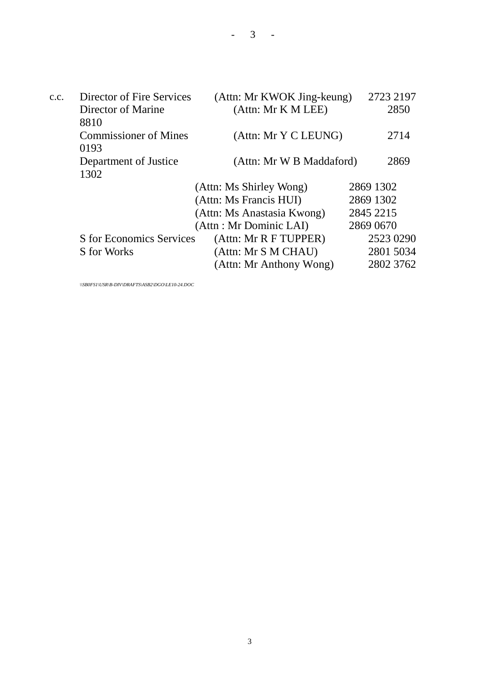c.c. Director of Fire Services (Attn: Mr KWOK Jing-keung) 2723 2197 Director of Marine (Attn: Mr K M LEE) 2850 8810 Commissioner of Mines (Attn: Mr Y C LEUNG) 2714 0193 Department of Justice (Attn: Mr W B Maddaford) 2869 1302 (Attn: Ms Shirley Wong) 2869 1302 (Attn: Ms Francis HUI) 2869 1302 (Attn: Ms Anastasia Kwong) 2845 2215 (Attn : Mr Dominic LAI) 2869 0670 S for Economics Services (Attn: Mr R F TUPPER) 2523 0290 S for Works (Attn: Mr S M CHAU) 2801 5034 (Attn: Mr Anthony Wong) 2802 3762

*\\SB0FS1\USR\B-DIV\DRAFTS\ASB2\DGO\LE10-24.DOC*

3

 $3 -$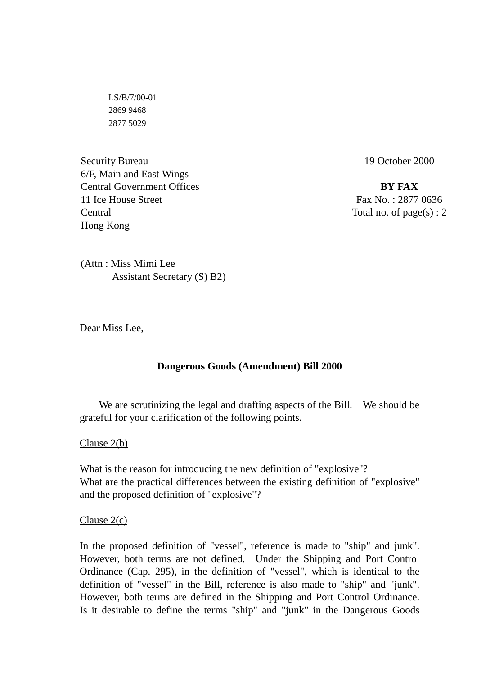LS/B/7/00-01 2869 9468 2877 5029

Security Bureau 6/F, Main and East Wings Central Government Offices 11 Ice House Street Central Hong Kong

19 October 2000

**BY FAX** Fax No. : 2877 0636 Total no. of  $page(s)$ : 2

(Attn : Miss Mimi Lee Assistant Secretary (S) B2)

Dear Miss Lee,

#### **Dangerous Goods (Amendment) Bill 2000**

We are scrutinizing the legal and drafting aspects of the Bill. We should be grateful for your clarification of the following points.

#### Clause 2(b)

What is the reason for introducing the new definition of "explosive"? What are the practical differences between the existing definition of "explosive" and the proposed definition of "explosive"?

#### Clause 2(c)

In the proposed definition of "vessel", reference is made to "ship" and junk". However, both terms are not defined. Under the Shipping and Port Control Ordinance (Cap. 295), in the definition of "vessel", which is identical to the definition of "vessel" in the Bill, reference is also made to "ship" and "junk". However, both terms are defined in the Shipping and Port Control Ordinance. Is it desirable to define the terms "ship" and "junk" in the Dangerous Goods